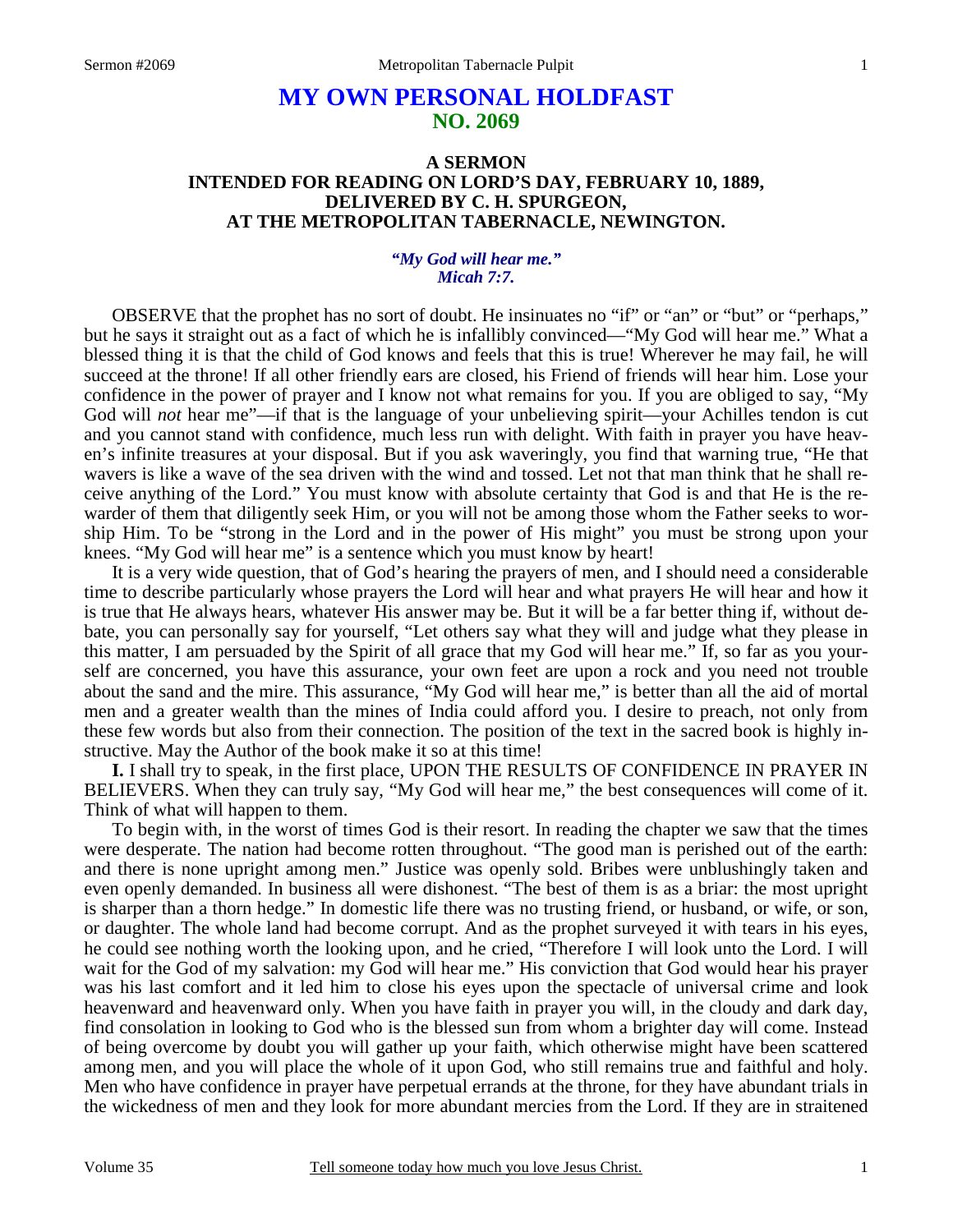# **MY OWN PERSONAL HOLDFAST NO. 2069**

#### **A SERMON INTENDED FOR READING ON LORD'S DAY, FEBRUARY 10, 1889, DELIVERED BY C. H. SPURGEON, AT THE METROPOLITAN TABERNACLE, NEWINGTON.**

#### *"My God will hear me." Micah 7:7.*

OBSERVE that the prophet has no sort of doubt. He insinuates no "if" or "an" or "but" or "perhaps," but he says it straight out as a fact of which he is infallibly convinced—"My God will hear me." What a blessed thing it is that the child of God knows and feels that this is true! Wherever he may fail, he will succeed at the throne! If all other friendly ears are closed, his Friend of friends will hear him. Lose your confidence in the power of prayer and I know not what remains for you. If you are obliged to say, "My God will *not* hear me"—if that is the language of your unbelieving spirit—your Achilles tendon is cut and you cannot stand with confidence, much less run with delight. With faith in prayer you have heaven's infinite treasures at your disposal. But if you ask waveringly, you find that warning true, "He that wavers is like a wave of the sea driven with the wind and tossed. Let not that man think that he shall receive anything of the Lord." You must know with absolute certainty that God is and that He is the rewarder of them that diligently seek Him, or you will not be among those whom the Father seeks to worship Him. To be "strong in the Lord and in the power of His might" you must be strong upon your knees. "My God will hear me" is a sentence which you must know by heart!

It is a very wide question, that of God's hearing the prayers of men, and I should need a considerable time to describe particularly whose prayers the Lord will hear and what prayers He will hear and how it is true that He always hears, whatever His answer may be. But it will be a far better thing if, without debate, you can personally say for yourself, "Let others say what they will and judge what they please in this matter, I am persuaded by the Spirit of all grace that my God will hear me." If, so far as you yourself are concerned, you have this assurance, your own feet are upon a rock and you need not trouble about the sand and the mire. This assurance, "My God will hear me," is better than all the aid of mortal men and a greater wealth than the mines of India could afford you. I desire to preach, not only from these few words but also from their connection. The position of the text in the sacred book is highly instructive. May the Author of the book make it so at this time!

**I.** I shall try to speak, in the first place, UPON THE RESULTS OF CONFIDENCE IN PRAYER IN BELIEVERS. When they can truly say, "My God will hear me," the best consequences will come of it. Think of what will happen to them.

To begin with, in the worst of times God is their resort. In reading the chapter we saw that the times were desperate. The nation had become rotten throughout. "The good man is perished out of the earth: and there is none upright among men." Justice was openly sold. Bribes were unblushingly taken and even openly demanded. In business all were dishonest. "The best of them is as a briar: the most upright is sharper than a thorn hedge." In domestic life there was no trusting friend, or husband, or wife, or son, or daughter. The whole land had become corrupt. And as the prophet surveyed it with tears in his eyes, he could see nothing worth the looking upon, and he cried, "Therefore I will look unto the Lord. I will wait for the God of my salvation: my God will hear me." His conviction that God would hear his prayer was his last comfort and it led him to close his eyes upon the spectacle of universal crime and look heavenward and heavenward only. When you have faith in prayer you will, in the cloudy and dark day, find consolation in looking to God who is the blessed sun from whom a brighter day will come. Instead of being overcome by doubt you will gather up your faith, which otherwise might have been scattered among men, and you will place the whole of it upon God, who still remains true and faithful and holy. Men who have confidence in prayer have perpetual errands at the throne, for they have abundant trials in the wickedness of men and they look for more abundant mercies from the Lord. If they are in straitened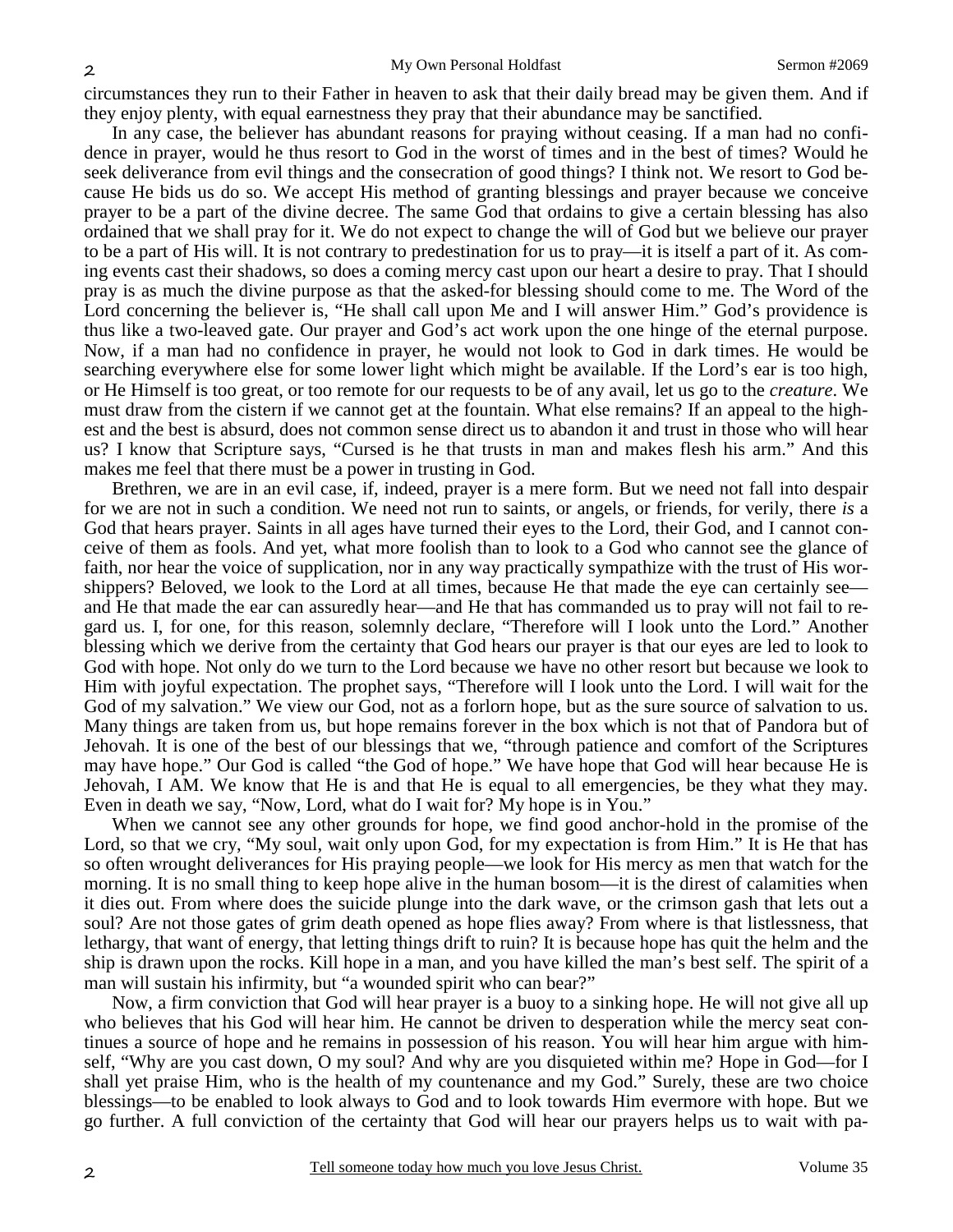circumstances they run to their Father in heaven to ask that their daily bread may be given them. And if they enjoy plenty, with equal earnestness they pray that their abundance may be sanctified.

In any case, the believer has abundant reasons for praying without ceasing. If a man had no confidence in prayer, would he thus resort to God in the worst of times and in the best of times? Would he seek deliverance from evil things and the consecration of good things? I think not. We resort to God because He bids us do so. We accept His method of granting blessings and prayer because we conceive prayer to be a part of the divine decree. The same God that ordains to give a certain blessing has also ordained that we shall pray for it. We do not expect to change the will of God but we believe our prayer to be a part of His will. It is not contrary to predestination for us to pray—it is itself a part of it. As coming events cast their shadows, so does a coming mercy cast upon our heart a desire to pray. That I should pray is as much the divine purpose as that the asked-for blessing should come to me. The Word of the Lord concerning the believer is, "He shall call upon Me and I will answer Him." God's providence is thus like a two-leaved gate. Our prayer and God's act work upon the one hinge of the eternal purpose. Now, if a man had no confidence in prayer, he would not look to God in dark times. He would be searching everywhere else for some lower light which might be available. If the Lord's ear is too high, or He Himself is too great, or too remote for our requests to be of any avail, let us go to the *creature*. We must draw from the cistern if we cannot get at the fountain. What else remains? If an appeal to the highest and the best is absurd, does not common sense direct us to abandon it and trust in those who will hear us? I know that Scripture says, "Cursed is he that trusts in man and makes flesh his arm." And this makes me feel that there must be a power in trusting in God.

Brethren, we are in an evil case, if, indeed, prayer is a mere form. But we need not fall into despair for we are not in such a condition. We need not run to saints, or angels, or friends, for verily, there *is* a God that hears prayer. Saints in all ages have turned their eyes to the Lord, their God, and I cannot conceive of them as fools. And yet, what more foolish than to look to a God who cannot see the glance of faith, nor hear the voice of supplication, nor in any way practically sympathize with the trust of His worshippers? Beloved, we look to the Lord at all times, because He that made the eye can certainly see and He that made the ear can assuredly hear—and He that has commanded us to pray will not fail to regard us. I, for one, for this reason, solemnly declare, "Therefore will I look unto the Lord." Another blessing which we derive from the certainty that God hears our prayer is that our eyes are led to look to God with hope. Not only do we turn to the Lord because we have no other resort but because we look to Him with joyful expectation. The prophet says, "Therefore will I look unto the Lord. I will wait for the God of my salvation." We view our God, not as a forlorn hope, but as the sure source of salvation to us. Many things are taken from us, but hope remains forever in the box which is not that of Pandora but of Jehovah. It is one of the best of our blessings that we, "through patience and comfort of the Scriptures may have hope." Our God is called "the God of hope." We have hope that God will hear because He is Jehovah, I AM. We know that He is and that He is equal to all emergencies, be they what they may. Even in death we say, "Now, Lord, what do I wait for? My hope is in You."

When we cannot see any other grounds for hope, we find good anchor-hold in the promise of the Lord, so that we cry, "My soul, wait only upon God, for my expectation is from Him." It is He that has so often wrought deliverances for His praying people—we look for His mercy as men that watch for the morning. It is no small thing to keep hope alive in the human bosom—it is the direst of calamities when it dies out. From where does the suicide plunge into the dark wave, or the crimson gash that lets out a soul? Are not those gates of grim death opened as hope flies away? From where is that listlessness, that lethargy, that want of energy, that letting things drift to ruin? It is because hope has quit the helm and the ship is drawn upon the rocks. Kill hope in a man, and you have killed the man's best self. The spirit of a man will sustain his infirmity, but "a wounded spirit who can bear?"

Now, a firm conviction that God will hear prayer is a buoy to a sinking hope. He will not give all up who believes that his God will hear him. He cannot be driven to desperation while the mercy seat continues a source of hope and he remains in possession of his reason. You will hear him argue with himself, "Why are you cast down, O my soul? And why are you disquieted within me? Hope in God—for I shall yet praise Him, who is the health of my countenance and my God." Surely, these are two choice blessings—to be enabled to look always to God and to look towards Him evermore with hope. But we go further. A full conviction of the certainty that God will hear our prayers helps us to wait with pa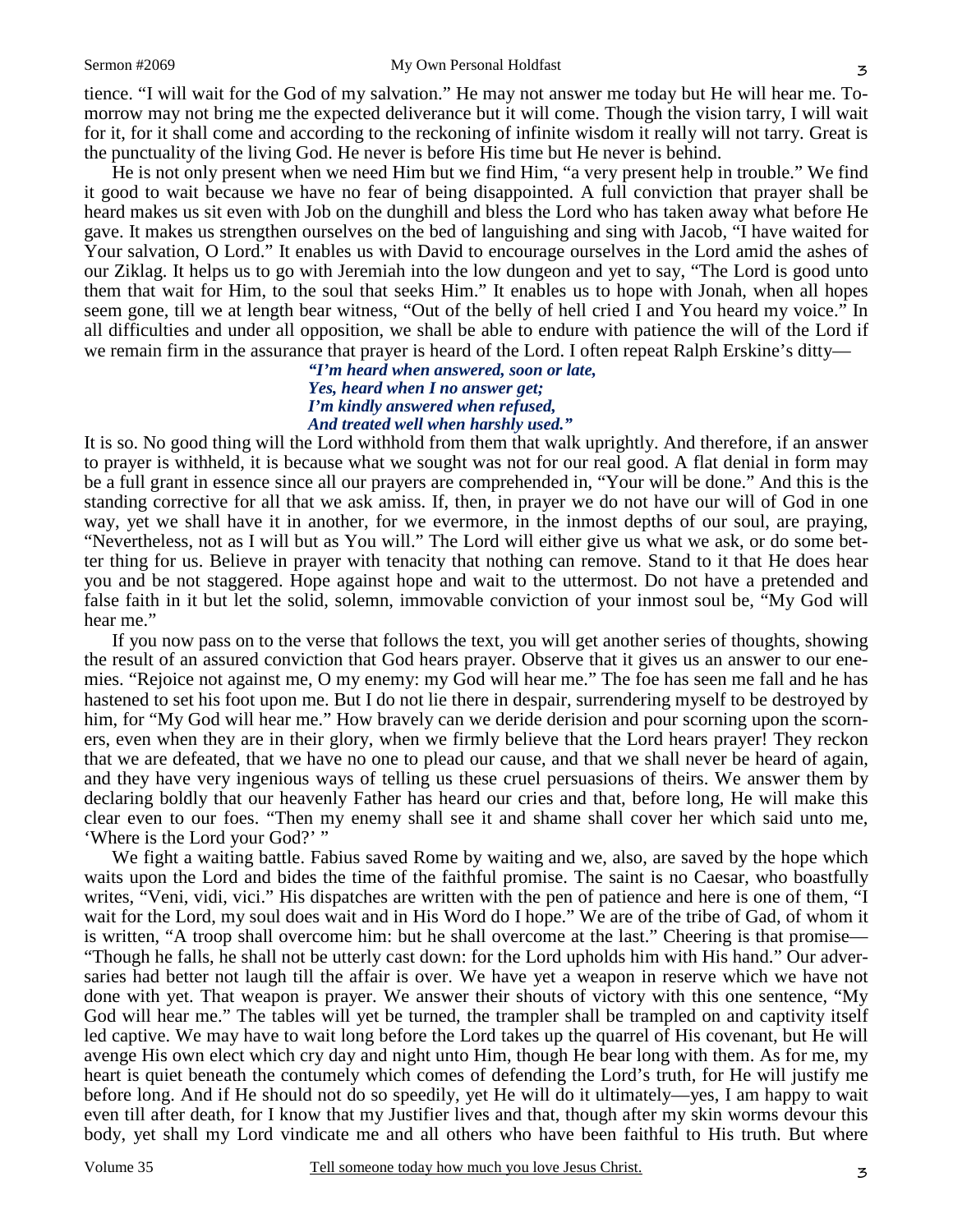tience. "I will wait for the God of my salvation." He may not answer me today but He will hear me. Tomorrow may not bring me the expected deliverance but it will come. Though the vision tarry, I will wait for it, for it shall come and according to the reckoning of infinite wisdom it really will not tarry. Great is the punctuality of the living God. He never is before His time but He never is behind.

He is not only present when we need Him but we find Him, "a very present help in trouble." We find it good to wait because we have no fear of being disappointed. A full conviction that prayer shall be heard makes us sit even with Job on the dunghill and bless the Lord who has taken away what before He gave. It makes us strengthen ourselves on the bed of languishing and sing with Jacob, "I have waited for Your salvation, O Lord." It enables us with David to encourage ourselves in the Lord amid the ashes of our Ziklag. It helps us to go with Jeremiah into the low dungeon and yet to say, "The Lord is good unto them that wait for Him, to the soul that seeks Him." It enables us to hope with Jonah, when all hopes seem gone, till we at length bear witness, "Out of the belly of hell cried I and You heard my voice." In all difficulties and under all opposition, we shall be able to endure with patience the will of the Lord if we remain firm in the assurance that prayer is heard of the Lord. I often repeat Ralph Erskine's ditty—

> *"I'm heard when answered, soon or late, Yes, heard when I no answer get; I'm kindly answered when refused, And treated well when harshly used."*

It is so. No good thing will the Lord withhold from them that walk uprightly. And therefore, if an answer to prayer is withheld, it is because what we sought was not for our real good. A flat denial in form may be a full grant in essence since all our prayers are comprehended in, "Your will be done." And this is the standing corrective for all that we ask amiss. If, then, in prayer we do not have our will of God in one way, yet we shall have it in another, for we evermore, in the inmost depths of our soul, are praying, "Nevertheless, not as I will but as You will." The Lord will either give us what we ask, or do some better thing for us. Believe in prayer with tenacity that nothing can remove. Stand to it that He does hear you and be not staggered. Hope against hope and wait to the uttermost. Do not have a pretended and false faith in it but let the solid, solemn, immovable conviction of your inmost soul be, "My God will hear me."

If you now pass on to the verse that follows the text, you will get another series of thoughts, showing the result of an assured conviction that God hears prayer. Observe that it gives us an answer to our enemies. "Rejoice not against me, O my enemy: my God will hear me." The foe has seen me fall and he has hastened to set his foot upon me. But I do not lie there in despair, surrendering myself to be destroyed by him, for "My God will hear me." How bravely can we deride derision and pour scorning upon the scorners, even when they are in their glory, when we firmly believe that the Lord hears prayer! They reckon that we are defeated, that we have no one to plead our cause, and that we shall never be heard of again, and they have very ingenious ways of telling us these cruel persuasions of theirs. We answer them by declaring boldly that our heavenly Father has heard our cries and that, before long, He will make this clear even to our foes. "Then my enemy shall see it and shame shall cover her which said unto me, 'Where is the Lord your God?' "

We fight a waiting battle. Fabius saved Rome by waiting and we, also, are saved by the hope which waits upon the Lord and bides the time of the faithful promise. The saint is no Caesar, who boastfully writes, "Veni, vidi, vici." His dispatches are written with the pen of patience and here is one of them, "I wait for the Lord, my soul does wait and in His Word do I hope." We are of the tribe of Gad, of whom it is written, "A troop shall overcome him: but he shall overcome at the last." Cheering is that promise— "Though he falls, he shall not be utterly cast down: for the Lord upholds him with His hand." Our adversaries had better not laugh till the affair is over. We have yet a weapon in reserve which we have not done with yet. That weapon is prayer. We answer their shouts of victory with this one sentence, "My God will hear me." The tables will yet be turned, the trampler shall be trampled on and captivity itself led captive. We may have to wait long before the Lord takes up the quarrel of His covenant, but He will avenge His own elect which cry day and night unto Him, though He bear long with them. As for me, my heart is quiet beneath the contumely which comes of defending the Lord's truth, for He will justify me before long. And if He should not do so speedily, yet He will do it ultimately—yes, I am happy to wait even till after death, for I know that my Justifier lives and that, though after my skin worms devour this body, yet shall my Lord vindicate me and all others who have been faithful to His truth. But where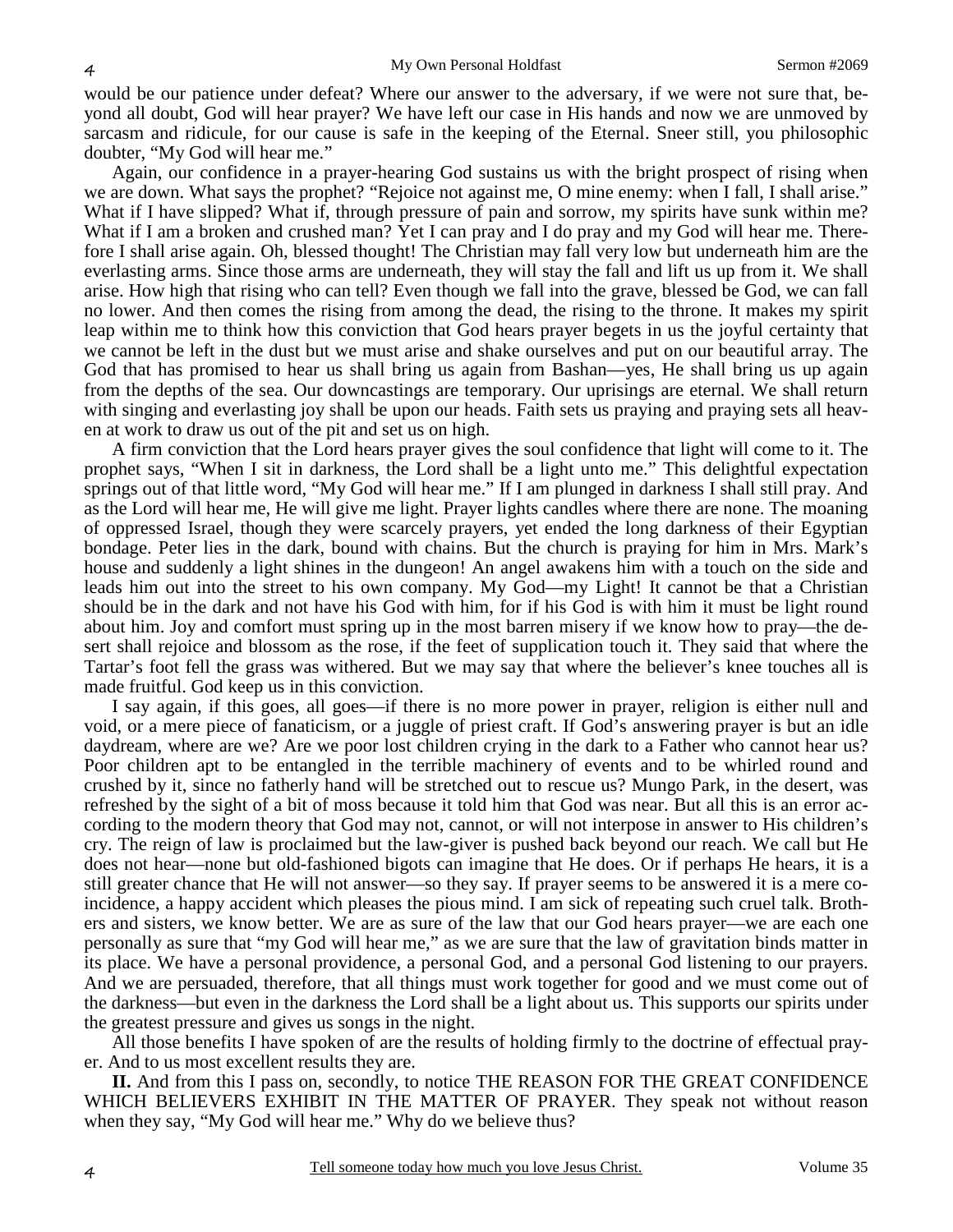would be our patience under defeat? Where our answer to the adversary, if we were not sure that, beyond all doubt, God will hear prayer? We have left our case in His hands and now we are unmoved by sarcasm and ridicule, for our cause is safe in the keeping of the Eternal. Sneer still, you philosophic doubter, "My God will hear me."

Again, our confidence in a prayer-hearing God sustains us with the bright prospect of rising when we are down. What says the prophet? "Rejoice not against me, O mine enemy: when I fall, I shall arise." What if I have slipped? What if, through pressure of pain and sorrow, my spirits have sunk within me? What if I am a broken and crushed man? Yet I can pray and I do pray and my God will hear me. Therefore I shall arise again. Oh, blessed thought! The Christian may fall very low but underneath him are the everlasting arms. Since those arms are underneath, they will stay the fall and lift us up from it. We shall arise. How high that rising who can tell? Even though we fall into the grave, blessed be God, we can fall no lower. And then comes the rising from among the dead, the rising to the throne. It makes my spirit leap within me to think how this conviction that God hears prayer begets in us the joyful certainty that we cannot be left in the dust but we must arise and shake ourselves and put on our beautiful array. The God that has promised to hear us shall bring us again from Bashan—yes, He shall bring us up again from the depths of the sea. Our downcastings are temporary. Our uprisings are eternal. We shall return with singing and everlasting joy shall be upon our heads. Faith sets us praying and praying sets all heaven at work to draw us out of the pit and set us on high.

A firm conviction that the Lord hears prayer gives the soul confidence that light will come to it. The prophet says, "When I sit in darkness, the Lord shall be a light unto me." This delightful expectation springs out of that little word, "My God will hear me." If I am plunged in darkness I shall still pray. And as the Lord will hear me, He will give me light. Prayer lights candles where there are none. The moaning of oppressed Israel, though they were scarcely prayers, yet ended the long darkness of their Egyptian bondage. Peter lies in the dark, bound with chains. But the church is praying for him in Mrs. Mark's house and suddenly a light shines in the dungeon! An angel awakens him with a touch on the side and leads him out into the street to his own company. My God—my Light! It cannot be that a Christian should be in the dark and not have his God with him, for if his God is with him it must be light round about him. Joy and comfort must spring up in the most barren misery if we know how to pray—the desert shall rejoice and blossom as the rose, if the feet of supplication touch it. They said that where the Tartar's foot fell the grass was withered. But we may say that where the believer's knee touches all is made fruitful. God keep us in this conviction.

I say again, if this goes, all goes—if there is no more power in prayer, religion is either null and void, or a mere piece of fanaticism, or a juggle of priest craft. If God's answering prayer is but an idle daydream, where are we? Are we poor lost children crying in the dark to a Father who cannot hear us? Poor children apt to be entangled in the terrible machinery of events and to be whirled round and crushed by it, since no fatherly hand will be stretched out to rescue us? Mungo Park, in the desert, was refreshed by the sight of a bit of moss because it told him that God was near. But all this is an error according to the modern theory that God may not, cannot, or will not interpose in answer to His children's cry. The reign of law is proclaimed but the law-giver is pushed back beyond our reach. We call but He does not hear—none but old-fashioned bigots can imagine that He does. Or if perhaps He hears, it is a still greater chance that He will not answer—so they say. If prayer seems to be answered it is a mere coincidence, a happy accident which pleases the pious mind. I am sick of repeating such cruel talk. Brothers and sisters, we know better. We are as sure of the law that our God hears prayer—we are each one personally as sure that "my God will hear me," as we are sure that the law of gravitation binds matter in its place. We have a personal providence, a personal God, and a personal God listening to our prayers. And we are persuaded, therefore, that all things must work together for good and we must come out of the darkness—but even in the darkness the Lord shall be a light about us. This supports our spirits under the greatest pressure and gives us songs in the night.

All those benefits I have spoken of are the results of holding firmly to the doctrine of effectual prayer. And to us most excellent results they are.

**II.** And from this I pass on, secondly, to notice THE REASON FOR THE GREAT CONFIDENCE WHICH BELIEVERS EXHIBIT IN THE MATTER OF PRAYER. They speak not without reason when they say, "My God will hear me." Why do we believe thus?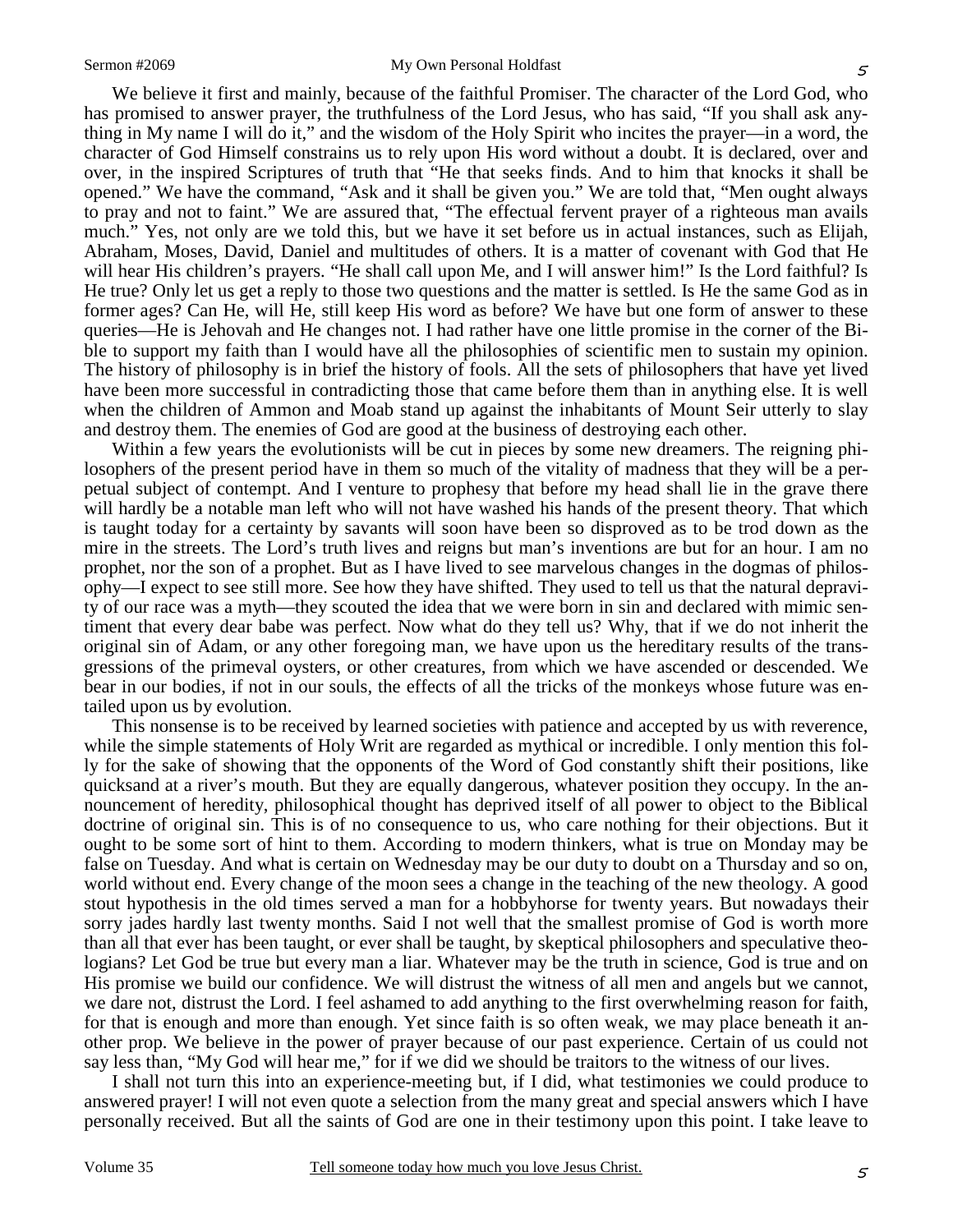We believe it first and mainly, because of the faithful Promiser. The character of the Lord God, who has promised to answer prayer, the truthfulness of the Lord Jesus, who has said, "If you shall ask anything in My name I will do it," and the wisdom of the Holy Spirit who incites the prayer—in a word, the character of God Himself constrains us to rely upon His word without a doubt. It is declared, over and over, in the inspired Scriptures of truth that "He that seeks finds. And to him that knocks it shall be opened." We have the command, "Ask and it shall be given you." We are told that, "Men ought always to pray and not to faint." We are assured that, "The effectual fervent prayer of a righteous man avails much." Yes, not only are we told this, but we have it set before us in actual instances, such as Elijah, Abraham, Moses, David, Daniel and multitudes of others. It is a matter of covenant with God that He

will hear His children's prayers. "He shall call upon Me, and I will answer him!" Is the Lord faithful? Is He true? Only let us get a reply to those two questions and the matter is settled. Is He the same God as in former ages? Can He, will He, still keep His word as before? We have but one form of answer to these queries—He is Jehovah and He changes not. I had rather have one little promise in the corner of the Bible to support my faith than I would have all the philosophies of scientific men to sustain my opinion. The history of philosophy is in brief the history of fools. All the sets of philosophers that have yet lived have been more successful in contradicting those that came before them than in anything else. It is well when the children of Ammon and Moab stand up against the inhabitants of Mount Seir utterly to slay and destroy them. The enemies of God are good at the business of destroying each other.

Within a few years the evolutionists will be cut in pieces by some new dreamers. The reigning philosophers of the present period have in them so much of the vitality of madness that they will be a perpetual subject of contempt. And I venture to prophesy that before my head shall lie in the grave there will hardly be a notable man left who will not have washed his hands of the present theory. That which is taught today for a certainty by savants will soon have been so disproved as to be trod down as the mire in the streets. The Lord's truth lives and reigns but man's inventions are but for an hour. I am no prophet, nor the son of a prophet. But as I have lived to see marvelous changes in the dogmas of philosophy—I expect to see still more. See how they have shifted. They used to tell us that the natural depravity of our race was a myth—they scouted the idea that we were born in sin and declared with mimic sentiment that every dear babe was perfect. Now what do they tell us? Why, that if we do not inherit the original sin of Adam, or any other foregoing man, we have upon us the hereditary results of the transgressions of the primeval oysters, or other creatures, from which we have ascended or descended. We bear in our bodies, if not in our souls, the effects of all the tricks of the monkeys whose future was entailed upon us by evolution.

This nonsense is to be received by learned societies with patience and accepted by us with reverence, while the simple statements of Holy Writ are regarded as mythical or incredible. I only mention this folly for the sake of showing that the opponents of the Word of God constantly shift their positions, like quicksand at a river's mouth. But they are equally dangerous, whatever position they occupy. In the announcement of heredity, philosophical thought has deprived itself of all power to object to the Biblical doctrine of original sin. This is of no consequence to us, who care nothing for their objections. But it ought to be some sort of hint to them. According to modern thinkers, what is true on Monday may be false on Tuesday. And what is certain on Wednesday may be our duty to doubt on a Thursday and so on, world without end. Every change of the moon sees a change in the teaching of the new theology. A good stout hypothesis in the old times served a man for a hobbyhorse for twenty years. But nowadays their sorry jades hardly last twenty months. Said I not well that the smallest promise of God is worth more than all that ever has been taught, or ever shall be taught, by skeptical philosophers and speculative theologians? Let God be true but every man a liar. Whatever may be the truth in science, God is true and on His promise we build our confidence. We will distrust the witness of all men and angels but we cannot, we dare not, distrust the Lord. I feel ashamed to add anything to the first overwhelming reason for faith, for that is enough and more than enough. Yet since faith is so often weak, we may place beneath it another prop. We believe in the power of prayer because of our past experience. Certain of us could not say less than, "My God will hear me," for if we did we should be traitors to the witness of our lives.

I shall not turn this into an experience-meeting but, if I did, what testimonies we could produce to answered prayer! I will not even quote a selection from the many great and special answers which I have personally received. But all the saints of God are one in their testimony upon this point. I take leave to

5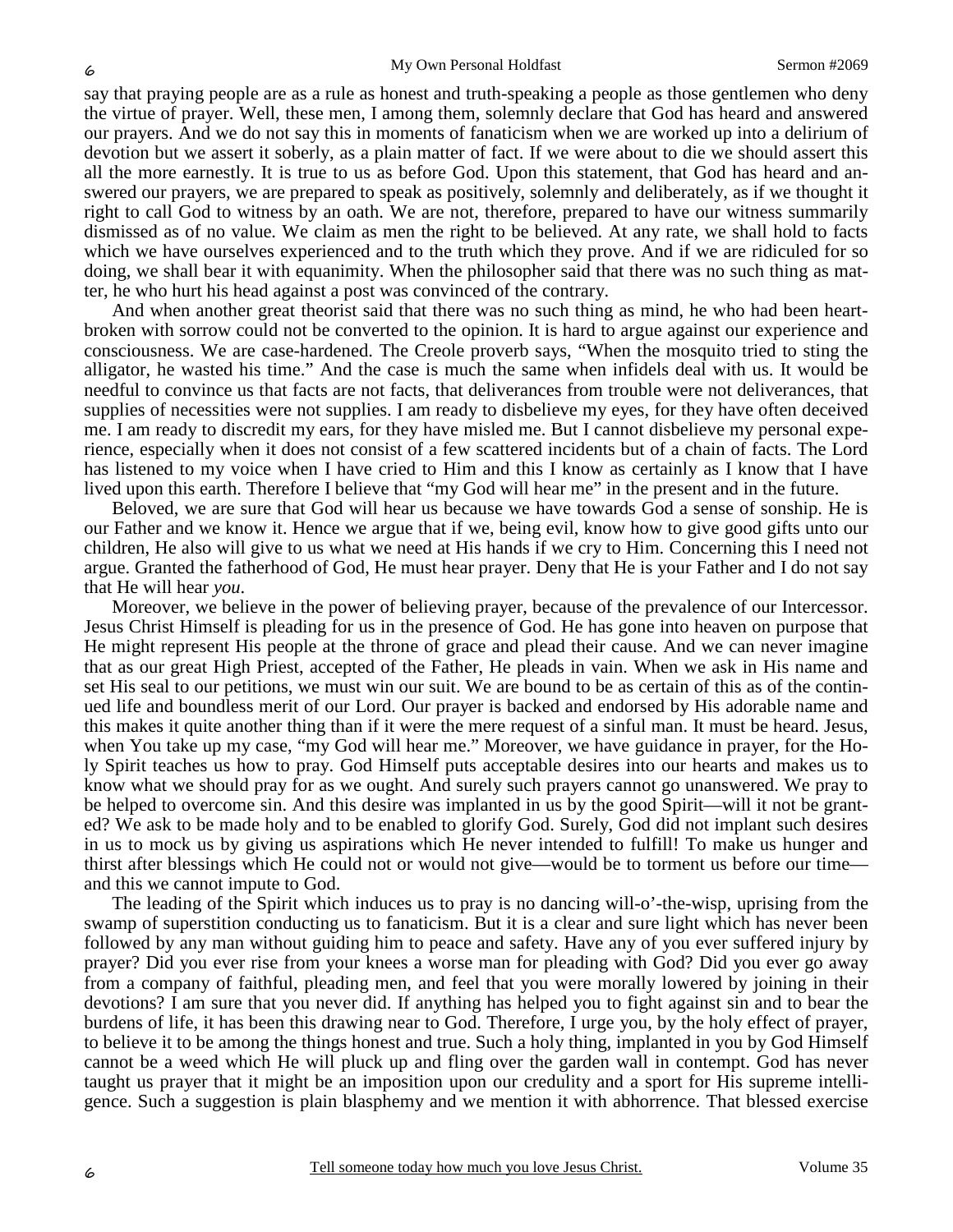say that praying people are as a rule as honest and truth-speaking a people as those gentlemen who deny the virtue of prayer. Well, these men, I among them, solemnly declare that God has heard and answered our prayers. And we do not say this in moments of fanaticism when we are worked up into a delirium of devotion but we assert it soberly, as a plain matter of fact. If we were about to die we should assert this all the more earnestly. It is true to us as before God. Upon this statement, that God has heard and answered our prayers, we are prepared to speak as positively, solemnly and deliberately, as if we thought it right to call God to witness by an oath. We are not, therefore, prepared to have our witness summarily dismissed as of no value. We claim as men the right to be believed. At any rate, we shall hold to facts which we have ourselves experienced and to the truth which they prove. And if we are ridiculed for so doing, we shall bear it with equanimity. When the philosopher said that there was no such thing as matter, he who hurt his head against a post was convinced of the contrary.

And when another great theorist said that there was no such thing as mind, he who had been heartbroken with sorrow could not be converted to the opinion. It is hard to argue against our experience and consciousness. We are case-hardened. The Creole proverb says, "When the mosquito tried to sting the alligator, he wasted his time." And the case is much the same when infidels deal with us. It would be needful to convince us that facts are not facts, that deliverances from trouble were not deliverances, that supplies of necessities were not supplies. I am ready to disbelieve my eyes, for they have often deceived me. I am ready to discredit my ears, for they have misled me. But I cannot disbelieve my personal experience, especially when it does not consist of a few scattered incidents but of a chain of facts. The Lord has listened to my voice when I have cried to Him and this I know as certainly as I know that I have lived upon this earth. Therefore I believe that "my God will hear me" in the present and in the future.

Beloved, we are sure that God will hear us because we have towards God a sense of sonship. He is our Father and we know it. Hence we argue that if we, being evil, know how to give good gifts unto our children, He also will give to us what we need at His hands if we cry to Him. Concerning this I need not argue. Granted the fatherhood of God, He must hear prayer. Deny that He is your Father and I do not say that He will hear *you*.

Moreover, we believe in the power of believing prayer, because of the prevalence of our Intercessor. Jesus Christ Himself is pleading for us in the presence of God. He has gone into heaven on purpose that He might represent His people at the throne of grace and plead their cause. And we can never imagine that as our great High Priest, accepted of the Father, He pleads in vain. When we ask in His name and set His seal to our petitions, we must win our suit. We are bound to be as certain of this as of the continued life and boundless merit of our Lord. Our prayer is backed and endorsed by His adorable name and this makes it quite another thing than if it were the mere request of a sinful man. It must be heard. Jesus, when You take up my case, "my God will hear me." Moreover, we have guidance in prayer, for the Holy Spirit teaches us how to pray. God Himself puts acceptable desires into our hearts and makes us to know what we should pray for as we ought. And surely such prayers cannot go unanswered. We pray to be helped to overcome sin. And this desire was implanted in us by the good Spirit—will it not be granted? We ask to be made holy and to be enabled to glorify God. Surely, God did not implant such desires in us to mock us by giving us aspirations which He never intended to fulfill! To make us hunger and thirst after blessings which He could not or would not give—would be to torment us before our time and this we cannot impute to God.

The leading of the Spirit which induces us to pray is no dancing will-o'-the-wisp, uprising from the swamp of superstition conducting us to fanaticism. But it is a clear and sure light which has never been followed by any man without guiding him to peace and safety. Have any of you ever suffered injury by prayer? Did you ever rise from your knees a worse man for pleading with God? Did you ever go away from a company of faithful, pleading men, and feel that you were morally lowered by joining in their devotions? I am sure that you never did. If anything has helped you to fight against sin and to bear the burdens of life, it has been this drawing near to God. Therefore, I urge you, by the holy effect of prayer, to believe it to be among the things honest and true. Such a holy thing, implanted in you by God Himself cannot be a weed which He will pluck up and fling over the garden wall in contempt. God has never taught us prayer that it might be an imposition upon our credulity and a sport for His supreme intelligence. Such a suggestion is plain blasphemy and we mention it with abhorrence. That blessed exercise

6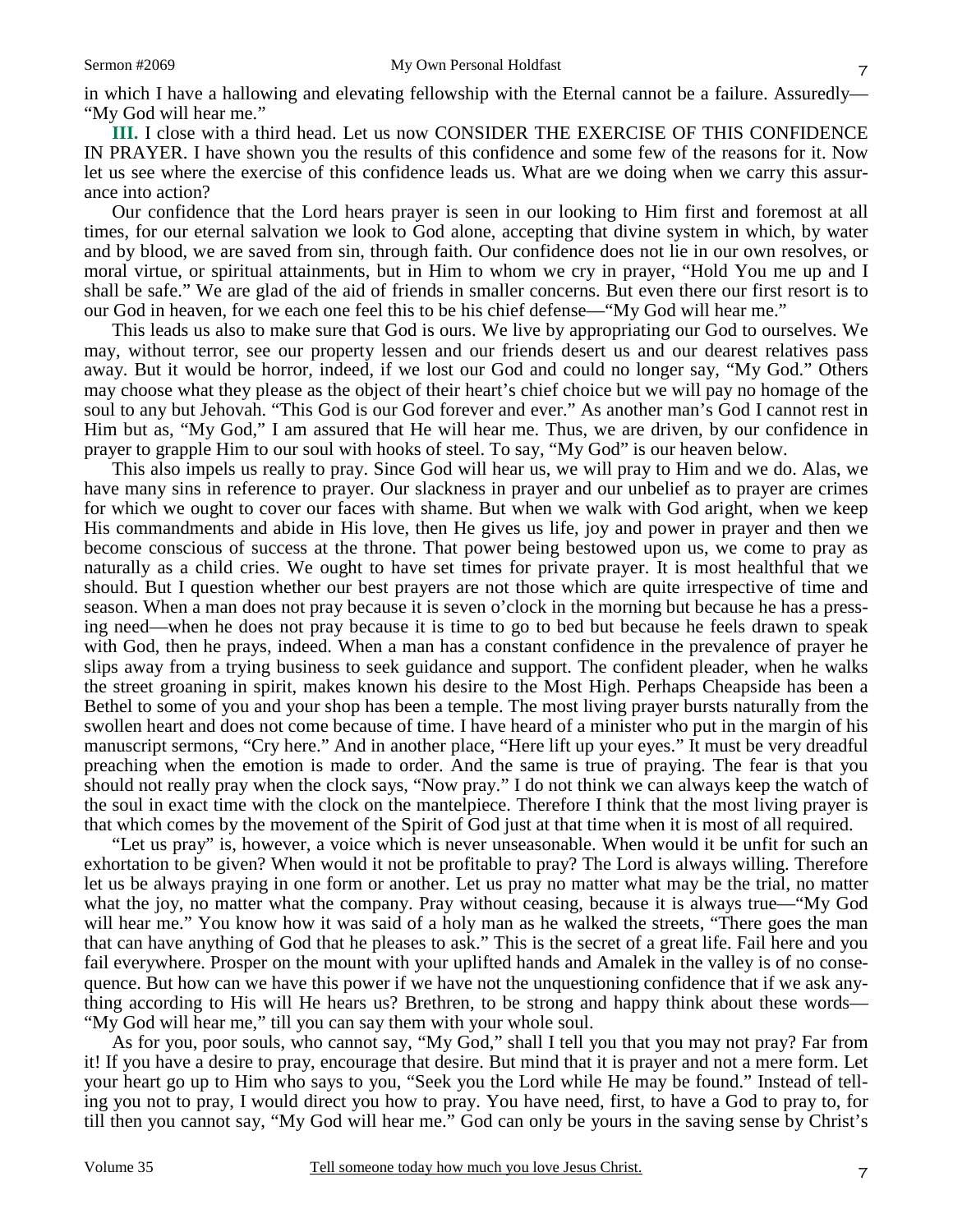**III.** I close with a third head. Let us now CONSIDER THE EXERCISE OF THIS CONFIDENCE IN PRAYER. I have shown you the results of this confidence and some few of the reasons for it. Now let us see where the exercise of this confidence leads us. What are we doing when we carry this assurance into action?

Our confidence that the Lord hears prayer is seen in our looking to Him first and foremost at all times, for our eternal salvation we look to God alone, accepting that divine system in which, by water and by blood, we are saved from sin, through faith. Our confidence does not lie in our own resolves, or moral virtue, or spiritual attainments, but in Him to whom we cry in prayer, "Hold You me up and I shall be safe." We are glad of the aid of friends in smaller concerns. But even there our first resort is to our God in heaven, for we each one feel this to be his chief defense—"My God will hear me."

This leads us also to make sure that God is ours. We live by appropriating our God to ourselves. We may, without terror, see our property lessen and our friends desert us and our dearest relatives pass away. But it would be horror, indeed, if we lost our God and could no longer say, "My God." Others may choose what they please as the object of their heart's chief choice but we will pay no homage of the soul to any but Jehovah. "This God is our God forever and ever." As another man's God I cannot rest in Him but as, "My God," I am assured that He will hear me. Thus, we are driven, by our confidence in prayer to grapple Him to our soul with hooks of steel. To say, "My God" is our heaven below.

This also impels us really to pray. Since God will hear us, we will pray to Him and we do. Alas, we have many sins in reference to prayer. Our slackness in prayer and our unbelief as to prayer are crimes for which we ought to cover our faces with shame. But when we walk with God aright, when we keep His commandments and abide in His love, then He gives us life, joy and power in prayer and then we become conscious of success at the throne. That power being bestowed upon us, we come to pray as naturally as a child cries. We ought to have set times for private prayer. It is most healthful that we should. But I question whether our best prayers are not those which are quite irrespective of time and season. When a man does not pray because it is seven o'clock in the morning but because he has a pressing need—when he does not pray because it is time to go to bed but because he feels drawn to speak with God, then he prays, indeed. When a man has a constant confidence in the prevalence of prayer he slips away from a trying business to seek guidance and support. The confident pleader, when he walks the street groaning in spirit, makes known his desire to the Most High. Perhaps Cheapside has been a Bethel to some of you and your shop has been a temple. The most living prayer bursts naturally from the swollen heart and does not come because of time. I have heard of a minister who put in the margin of his manuscript sermons, "Cry here." And in another place, "Here lift up your eyes." It must be very dreadful preaching when the emotion is made to order. And the same is true of praying. The fear is that you should not really pray when the clock says, "Now pray." I do not think we can always keep the watch of the soul in exact time with the clock on the mantelpiece. Therefore I think that the most living prayer is that which comes by the movement of the Spirit of God just at that time when it is most of all required.

"Let us pray" is, however, a voice which is never unseasonable. When would it be unfit for such an exhortation to be given? When would it not be profitable to pray? The Lord is always willing. Therefore let us be always praying in one form or another. Let us pray no matter what may be the trial, no matter what the joy, no matter what the company. Pray without ceasing, because it is always true—"My God will hear me." You know how it was said of a holy man as he walked the streets, "There goes the man that can have anything of God that he pleases to ask." This is the secret of a great life. Fail here and you fail everywhere. Prosper on the mount with your uplifted hands and Amalek in the valley is of no consequence. But how can we have this power if we have not the unquestioning confidence that if we ask anything according to His will He hears us? Brethren, to be strong and happy think about these words— "My God will hear me," till you can say them with your whole soul.

As for you, poor souls, who cannot say, "My God," shall I tell you that you may not pray? Far from it! If you have a desire to pray, encourage that desire. But mind that it is prayer and not a mere form. Let your heart go up to Him who says to you, "Seek you the Lord while He may be found." Instead of telling you not to pray, I would direct you how to pray. You have need, first, to have a God to pray to, for till then you cannot say, "My God will hear me." God can only be yours in the saving sense by Christ's